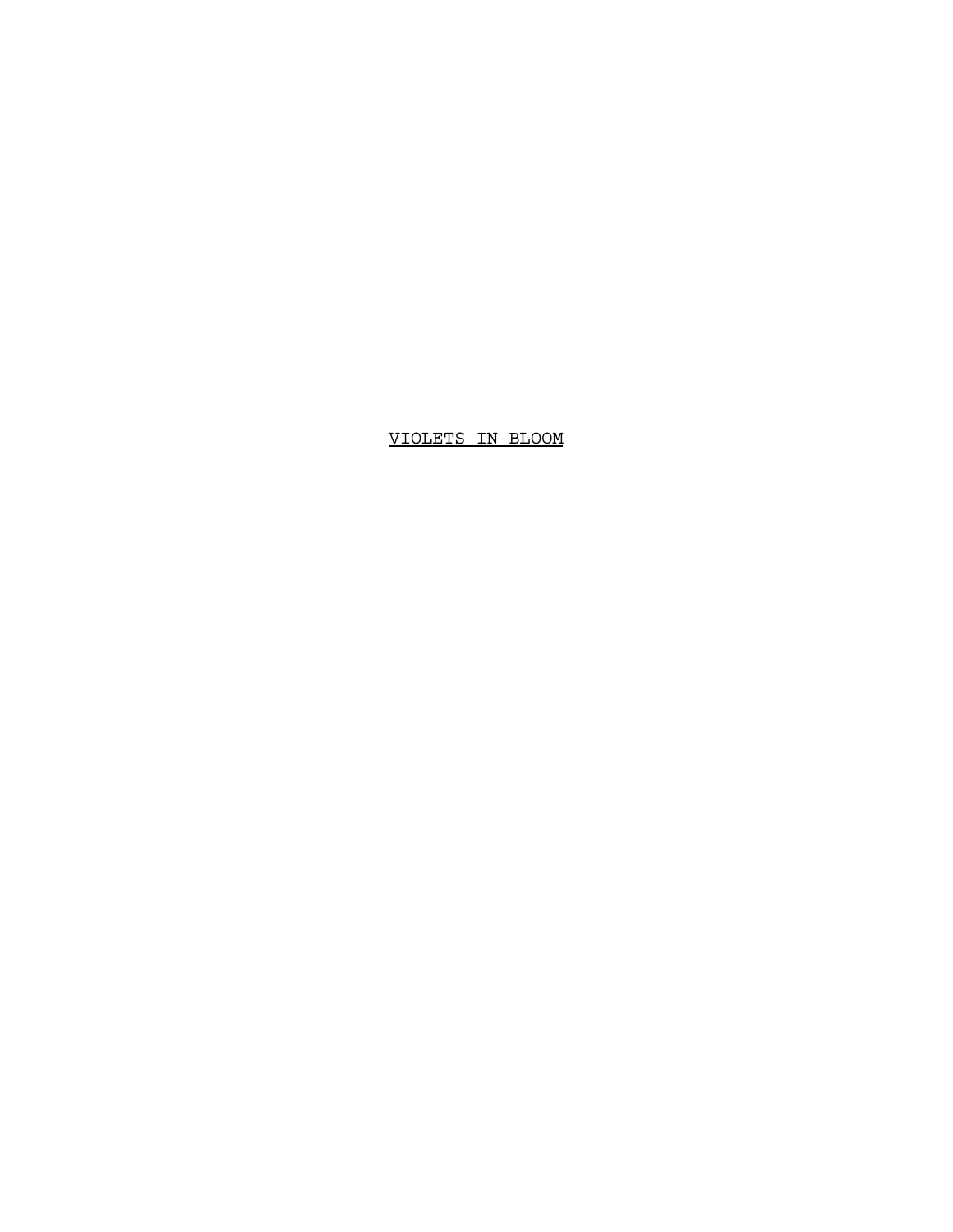VIOLETS IN BLOOM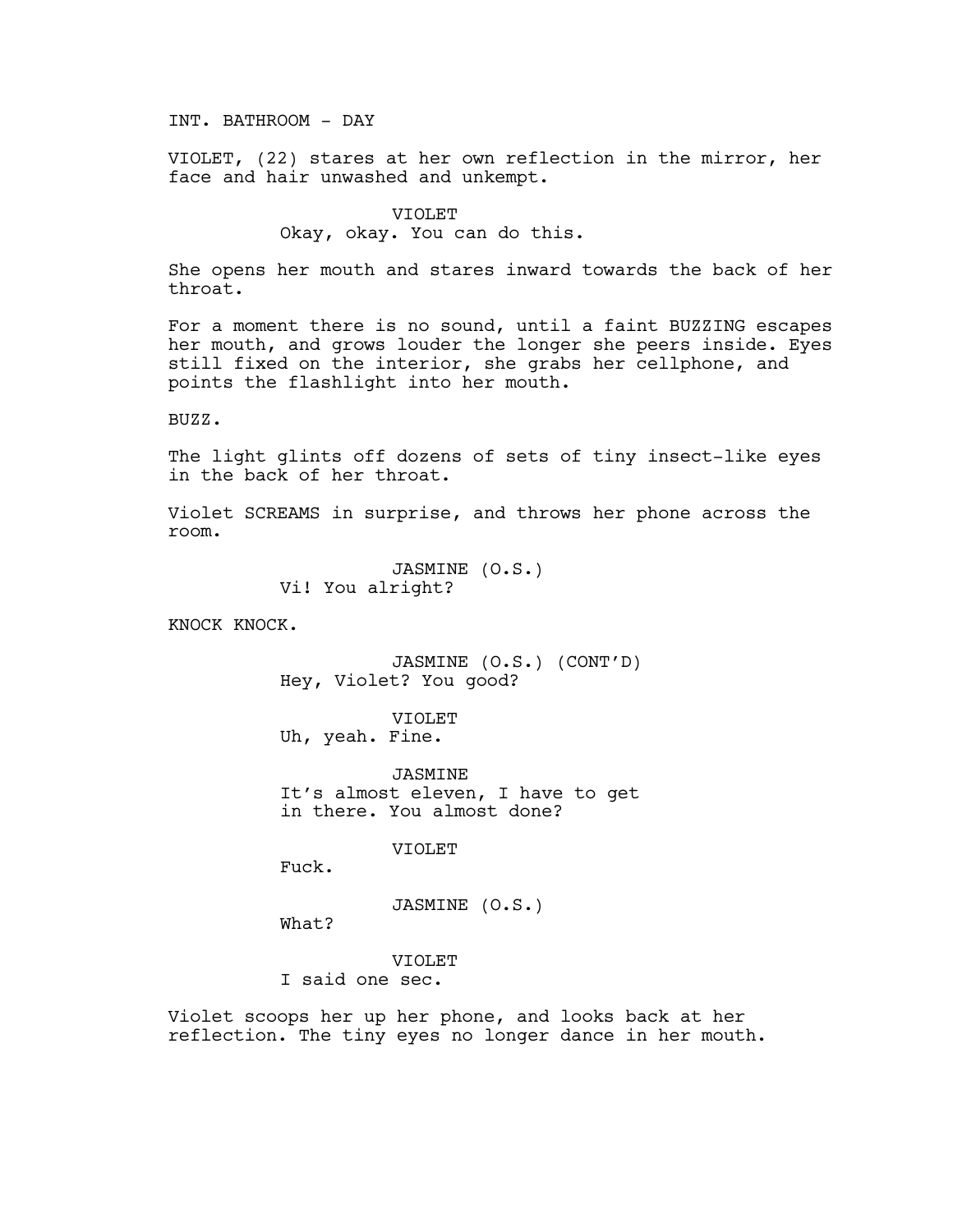INT. BATHROOM - DAY

VIOLET, (22) stares at her own reflection in the mirror, her face and hair unwashed and unkempt.

> VIOLET Okay, okay. You can do this.

She opens her mouth and stares inward towards the back of her throat.

For a moment there is no sound, until a faint BUZZING escapes her mouth, and grows louder the longer she peers inside. Eyes still fixed on the interior, she grabs her cellphone, and points the flashlight into her mouth.

BUZZ.

The light glints off dozens of sets of tiny insect-like eyes in the back of her throat.

Violet SCREAMS in surprise, and throws her phone across the room.

> JASMINE (O.S.) Vi! You alright?

KNOCK KNOCK.

JASMINE (O.S.) (CONT'D) Hey, Violet? You good?

VIOLET Uh, yeah. Fine.

**JASMINE** It's almost eleven, I have to get in there. You almost done?

VIOLET

Fuck.

What?

JASMINE (O.S.)

VIOLET

I said one sec.

Violet scoops her up her phone, and looks back at her reflection. The tiny eyes no longer dance in her mouth.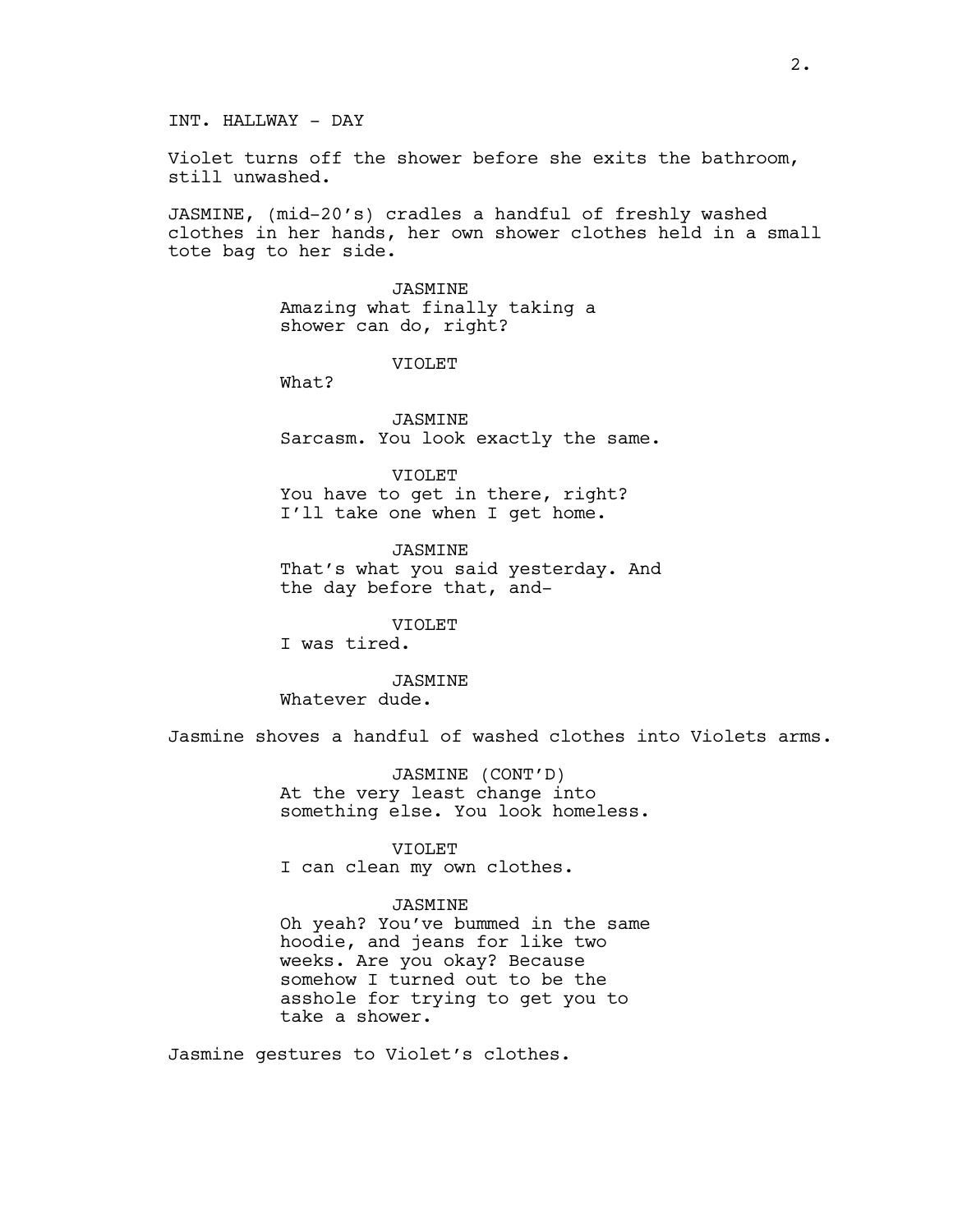INT. HALLWAY - DAY

Violet turns off the shower before she exits the bathroom, still unwashed.

JASMINE, (mid-20's) cradles a handful of freshly washed clothes in her hands, her own shower clothes held in a small tote bag to her side.

> JASMINE Amazing what finally taking a shower can do, right?

> > VIOLET

What?

JASMINE Sarcasm. You look exactly the same.

VIOLET You have to get in there, right? I'll take one when I get home.

JASMINE That's what you said yesterday. And the day before that, and-

VIOLET I was tired.

JASMINE Whatever dude.

Jasmine shoves a handful of washed clothes into Violets arms.

JASMINE (CONT'D) At the very least change into something else. You look homeless.

VIOLET

I can clean my own clothes.

JASMINE

Oh yeah? You've bummed in the same hoodie, and jeans for like two weeks. Are you okay? Because somehow I turned out to be the asshole for trying to get you to take a shower.

Jasmine gestures to Violet's clothes.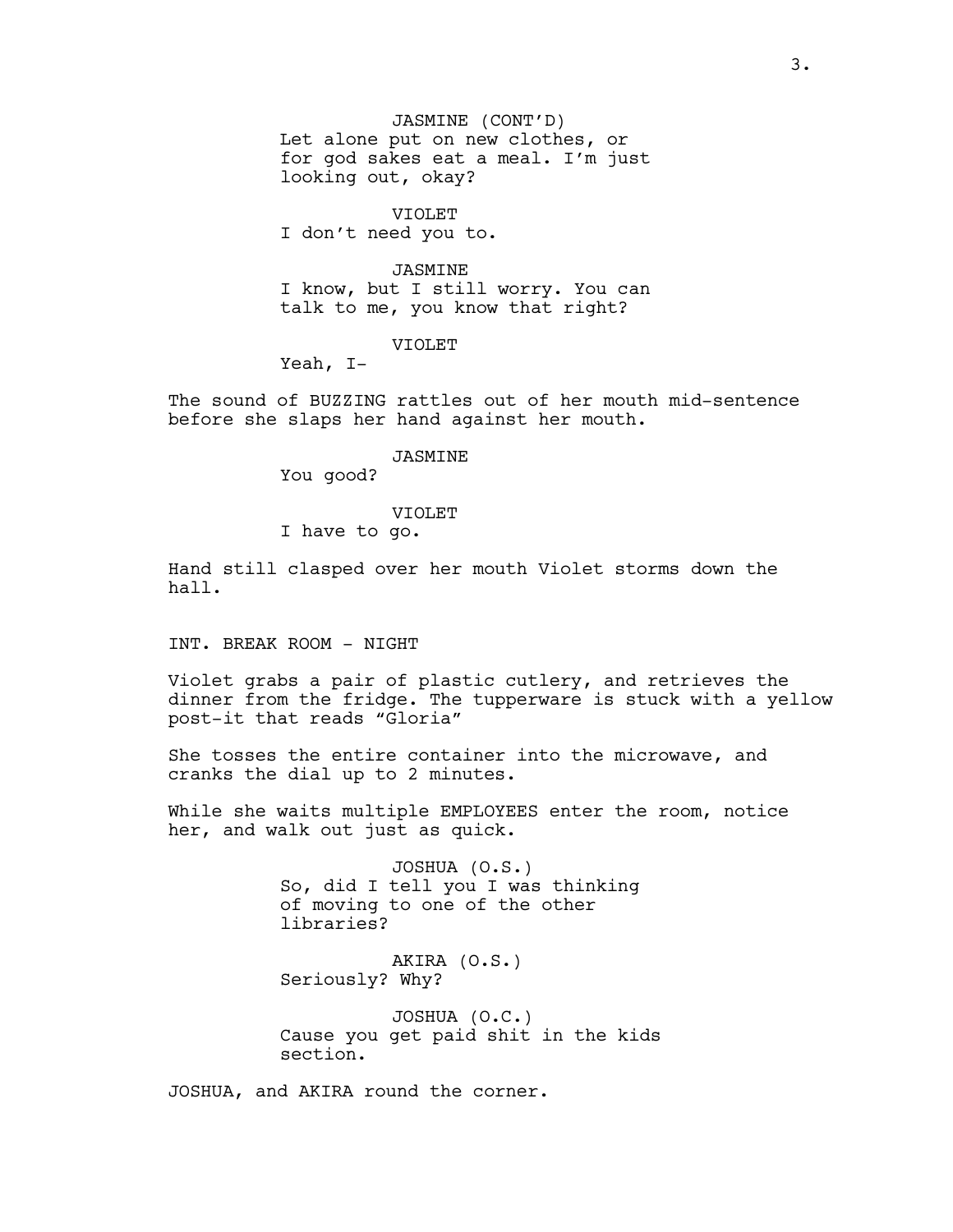JASMINE (CONT'D) Let alone put on new clothes, or for god sakes eat a meal. I'm just looking out, okay?

VIOLET I don't need you to.

JASMINE I know, but I still worry. You can talk to me, you know that right?

VIOLET

Yeah, I-

The sound of BUZZING rattles out of her mouth mid-sentence before she slaps her hand against her mouth.

#### JASMINE

You good?

## VIOLET

I have to go.

Hand still clasped over her mouth Violet storms down the hall.

INT. BREAK ROOM - NIGHT

Violet grabs a pair of plastic cutlery, and retrieves the dinner from the fridge. The tupperware is stuck with a yellow post-it that reads "Gloria"

She tosses the entire container into the microwave, and cranks the dial up to 2 minutes.

While she waits multiple EMPLOYEES enter the room, notice her, and walk out just as quick.

> JOSHUA (O.S.) So, did I tell you I was thinking of moving to one of the other libraries?

AKIRA (O.S.) Seriously? Why?

JOSHUA (O.C.) Cause you get paid shit in the kids section.

JOSHUA, and AKIRA round the corner.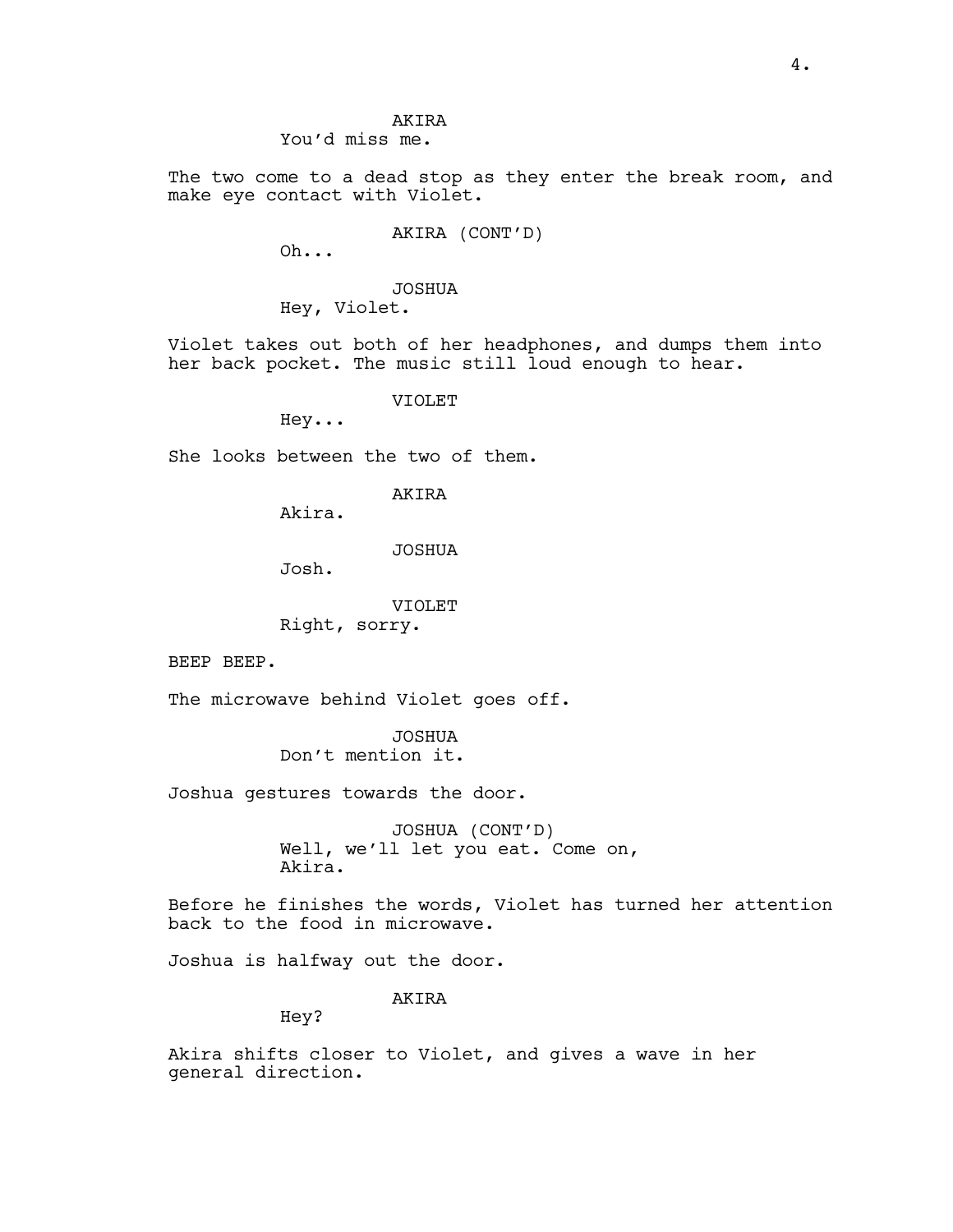#### AKIRA You'd miss me.

The two come to a dead stop as they enter the break room, and make eye contact with Violet.

AKIRA (CONT'D)

Oh...

# JOSHUA

Hey, Violet.

Violet takes out both of her headphones, and dumps them into her back pocket. The music still loud enough to hear.

VIOLET

Hey...

She looks between the two of them.

AKIRA

Akira.

## JOSHUA

Josh.

#### VIOLET

Right, sorry.

BEEP BEEP.

The microwave behind Violet goes off.

JOSHUA Don't mention it.

Joshua gestures towards the door.

JOSHUA (CONT'D) Well, we'll let you eat. Come on, Akira.

Before he finishes the words, Violet has turned her attention back to the food in microwave.

Joshua is halfway out the door.

AKIRA

Hey?

Akira shifts closer to Violet, and gives a wave in her general direction.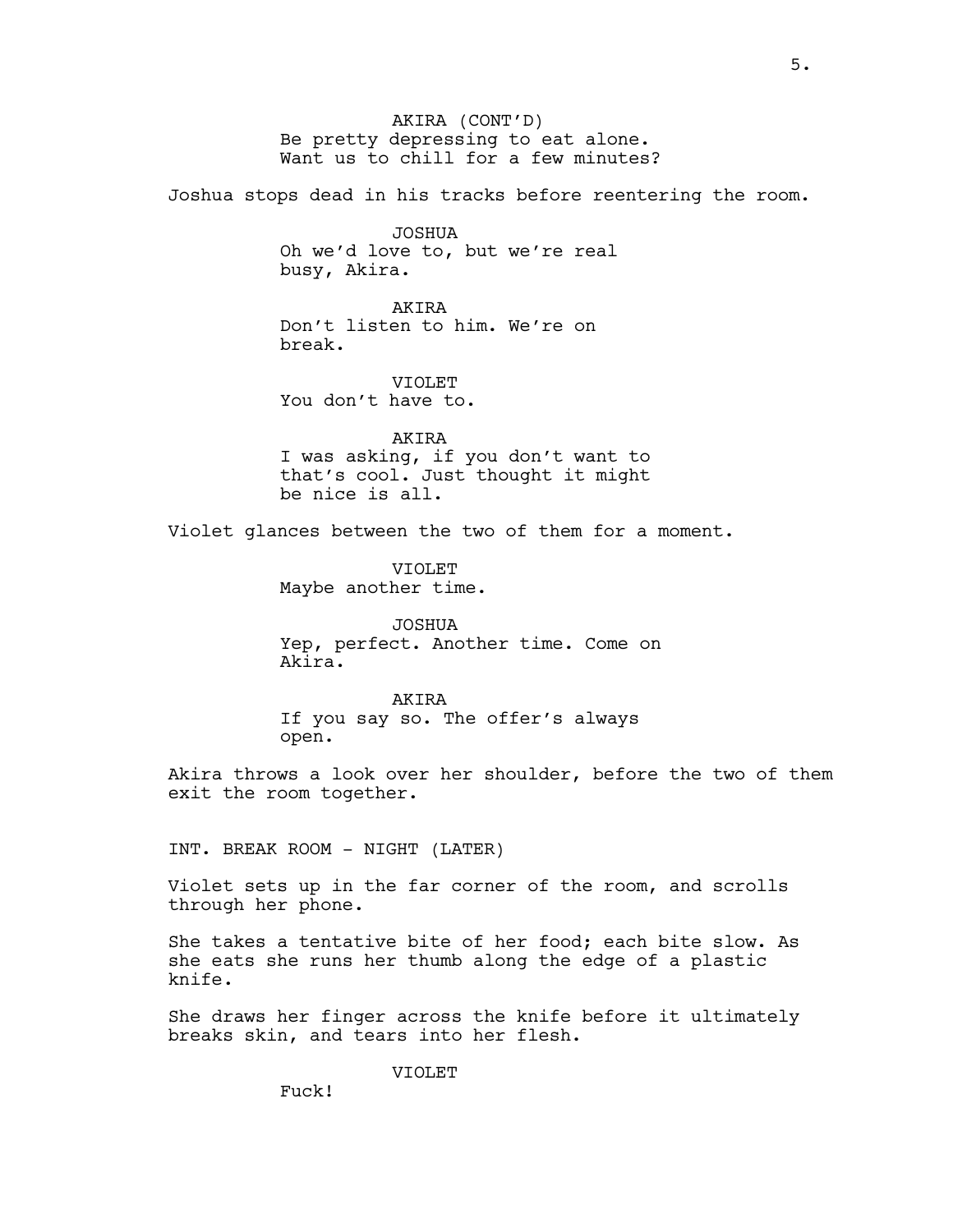AKIRA (CONT'D) Be pretty depressing to eat alone. Want us to chill for a few minutes?

Joshua stops dead in his tracks before reentering the room.

JOSHUA Oh we'd love to, but we're real busy, Akira.

AKIRA Don't listen to him. We're on break.

VIOLET You don't have to.

AKIRA I was asking, if you don't want to that's cool. Just thought it might be nice is all.

Violet glances between the two of them for a moment.

VIOLET Maybe another time.

JOSHUA Yep, perfect. Another time. Come on Akira.

**AKTRA** If you say so. The offer's always open.

Akira throws a look over her shoulder, before the two of them exit the room together.

INT. BREAK ROOM - NIGHT (LATER)

Violet sets up in the far corner of the room, and scrolls through her phone.

She takes a tentative bite of her food; each bite slow. As she eats she runs her thumb along the edge of a plastic knife.

She draws her finger across the knife before it ultimately breaks skin, and tears into her flesh.

VIOLET

Fuck!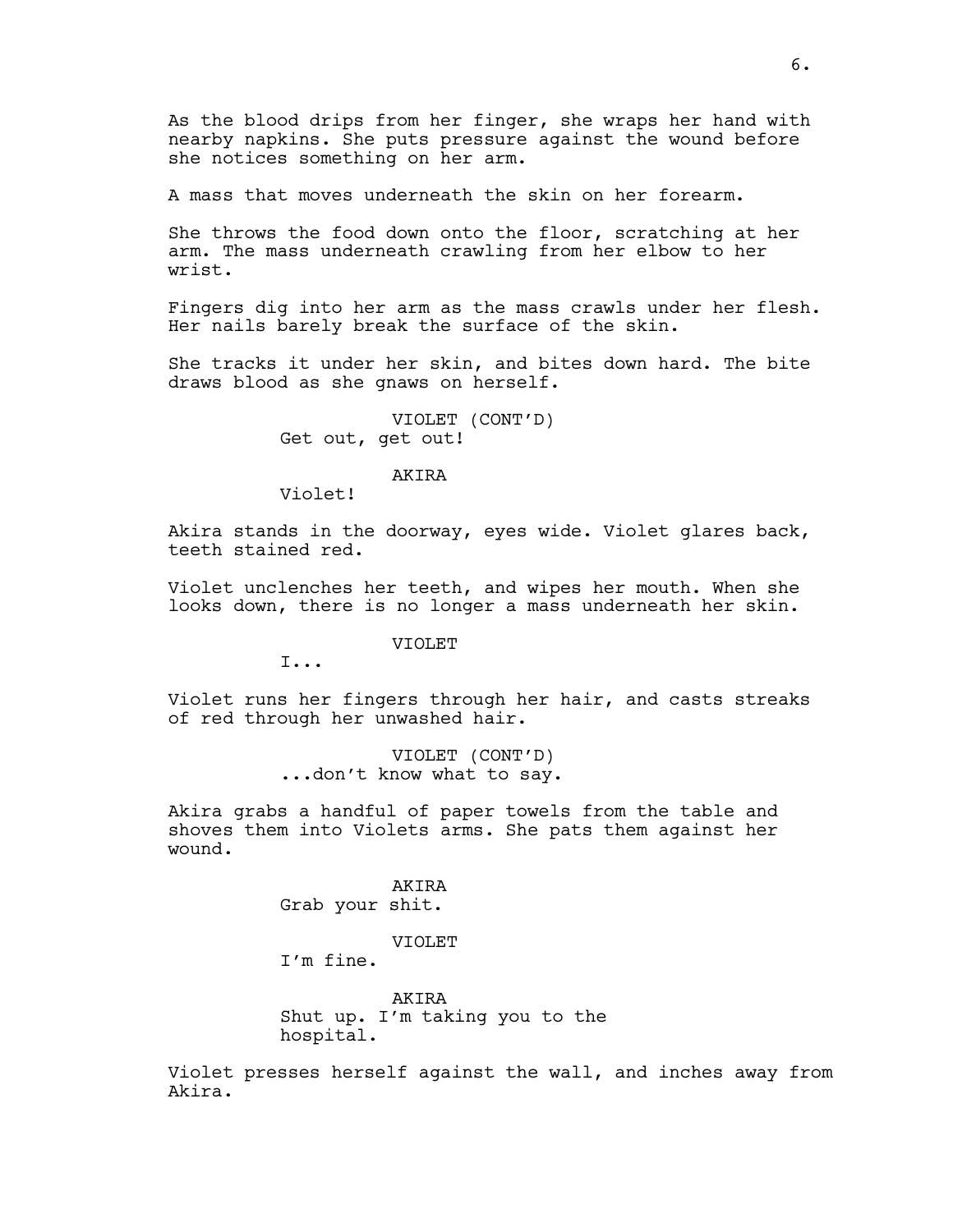As the blood drips from her finger, she wraps her hand with nearby napkins. She puts pressure against the wound before she notices something on her arm.

A mass that moves underneath the skin on her forearm.

She throws the food down onto the floor, scratching at her arm. The mass underneath crawling from her elbow to her wrist.

Fingers dig into her arm as the mass crawls under her flesh. Her nails barely break the surface of the skin.

She tracks it under her skin, and bites down hard. The bite draws blood as she gnaws on herself.

> VIOLET (CONT'D) Get out, get out!

#### AKIRA

Violet!

Akira stands in the doorway, eyes wide. Violet glares back, teeth stained red.

Violet unclenches her teeth, and wipes her mouth. When she looks down, there is no longer a mass underneath her skin.

VIOLET

I...

Violet runs her fingers through her hair, and casts streaks of red through her unwashed hair.

> VIOLET (CONT'D) ...don't know what to say.

Akira grabs a handful of paper towels from the table and shoves them into Violets arms. She pats them against her wound.

> AKIRA Grab your shit.

#### VIOLET

I'm fine.

AKIRA Shut up. I'm taking you to the hospital.

Violet presses herself against the wall, and inches away from Akira.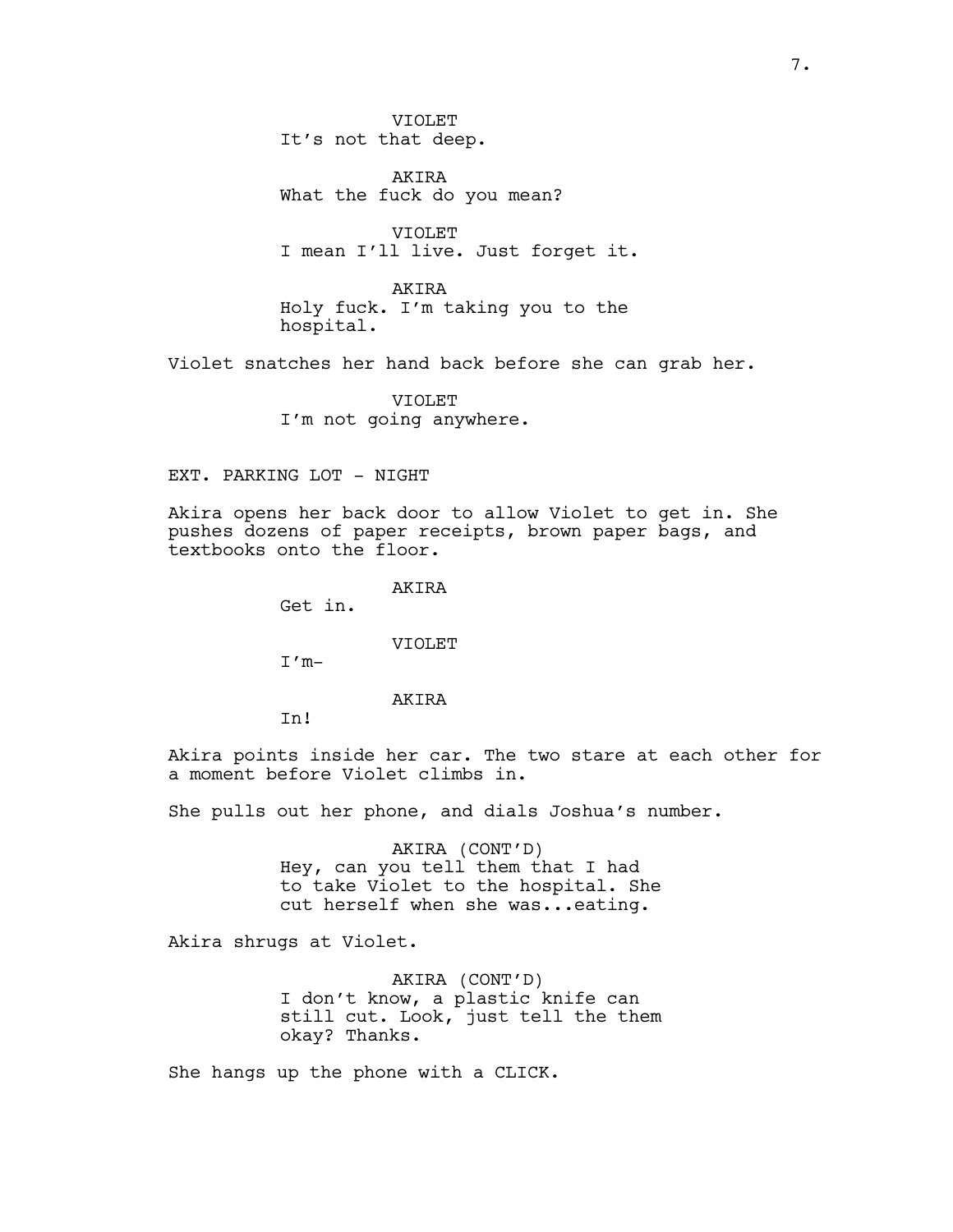VIOLET It's not that deep.

AKIRA What the fuck do you mean?

VIOLET I mean I'll live. Just forget it.

AKIRA Holy fuck. I'm taking you to the hospital.

Violet snatches her hand back before she can grab her.

VIOLET I'm not going anywhere.

## EXT. PARKING LOT - NIGHT

Akira opens her back door to allow Violet to get in. She pushes dozens of paper receipts, brown paper bags, and textbooks onto the floor.

AKIRA

Get in.

VIOLET

 $I'm-$ 

### **AKTRA**

In!

Akira points inside her car. The two stare at each other for a moment before Violet climbs in.

She pulls out her phone, and dials Joshua's number.

AKIRA (CONT'D) Hey, can you tell them that I had to take Violet to the hospital. She cut herself when she was...eating.

Akira shrugs at Violet.

AKIRA (CONT'D) I don't know, a plastic knife can still cut. Look, just tell the them okay? Thanks.

She hangs up the phone with a CLICK.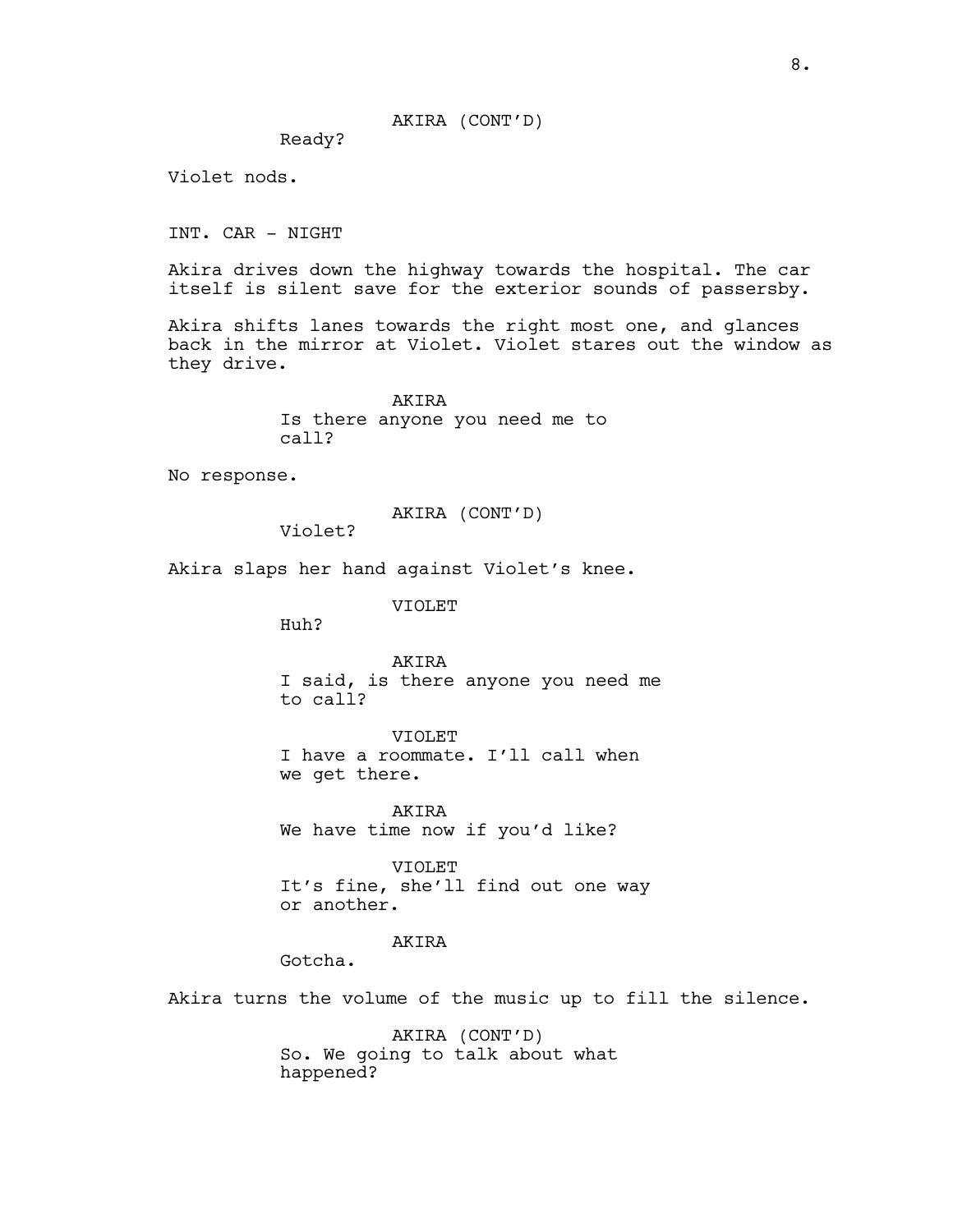Ready?

Violet nods.

INT. CAR - NIGHT

Akira drives down the highway towards the hospital. The car itself is silent save for the exterior sounds of passersby.

Akira shifts lanes towards the right most one, and glances back in the mirror at Violet. Violet stares out the window as they drive.

> AKIRA Is there anyone you need me to call?

No response.

AKIRA (CONT'D)

Violet?

Akira slaps her hand against Violet's knee.

VIOLET

Huh?

AKIRA I said, is there anyone you need me to call?

VIOLET I have a roommate. I'll call when we get there.

AKIRA We have time now if you'd like?

VIOLET It's fine, she'll find out one way or another.

# AKIRA

Gotcha.

Akira turns the volume of the music up to fill the silence.

AKIRA (CONT'D) So. We going to talk about what happened?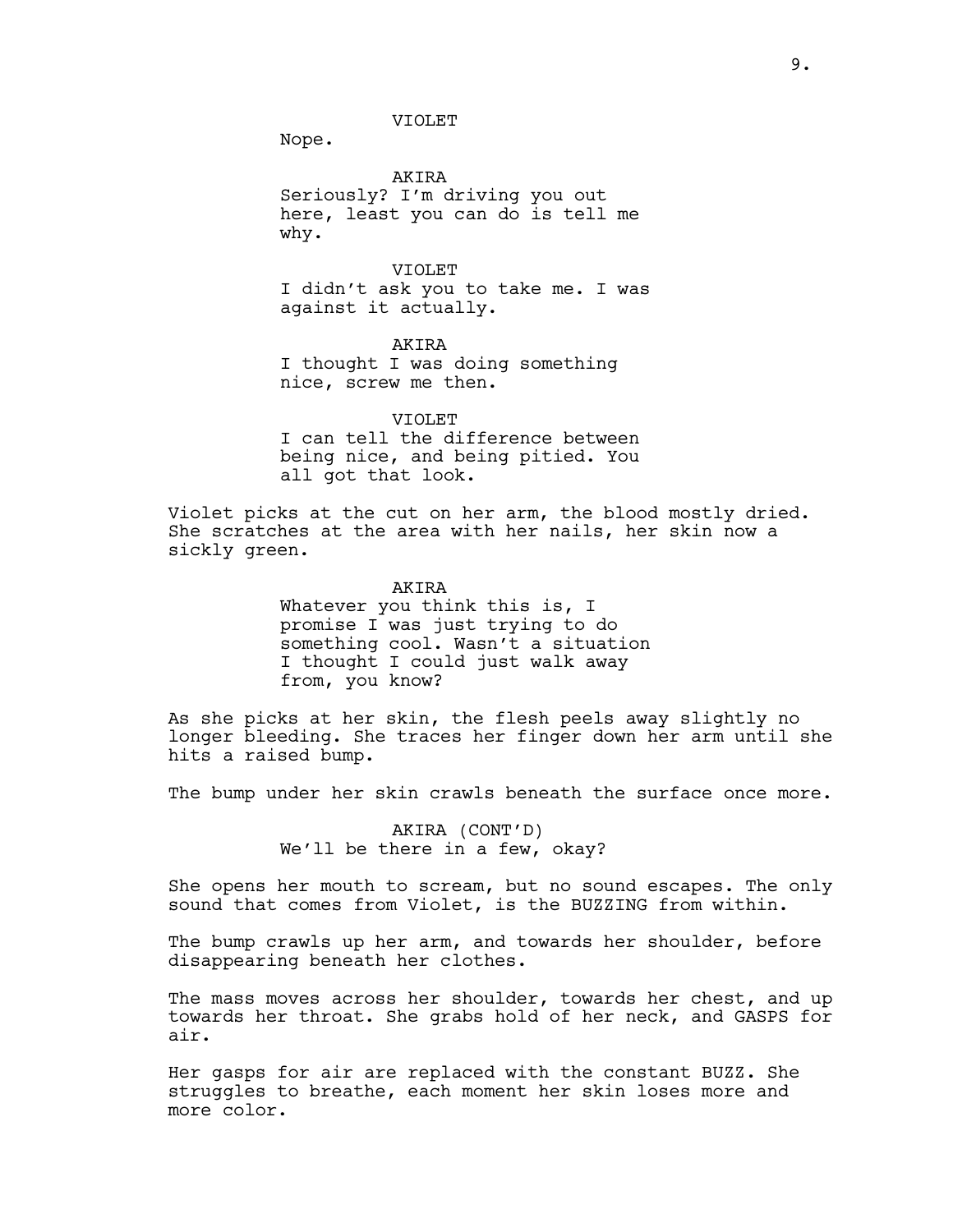Nope.

**AKTRA** Seriously? I'm driving you out here, least you can do is tell me why.

VIOLET I didn't ask you to take me. I was against it actually.

AKIRA I thought I was doing something nice, screw me then.

VIOLET I can tell the difference between being nice, and being pitied. You all got that look.

Violet picks at the cut on her arm, the blood mostly dried. She scratches at the area with her nails, her skin now a sickly green.

AKIRA

Whatever you think this is, I promise I was just trying to do something cool. Wasn't a situation I thought I could just walk away from, you know?

As she picks at her skin, the flesh peels away slightly no longer bleeding. She traces her finger down her arm until she hits a raised bump.

The bump under her skin crawls beneath the surface once more.

AKIRA (CONT'D) We'll be there in a few, okay?

She opens her mouth to scream, but no sound escapes. The only sound that comes from Violet, is the BUZZING from within.

The bump crawls up her arm, and towards her shoulder, before disappearing beneath her clothes.

The mass moves across her shoulder, towards her chest, and up towards her throat. She grabs hold of her neck, and GASPS for air.

Her gasps for air are replaced with the constant BUZZ. She struggles to breathe, each moment her skin loses more and more color.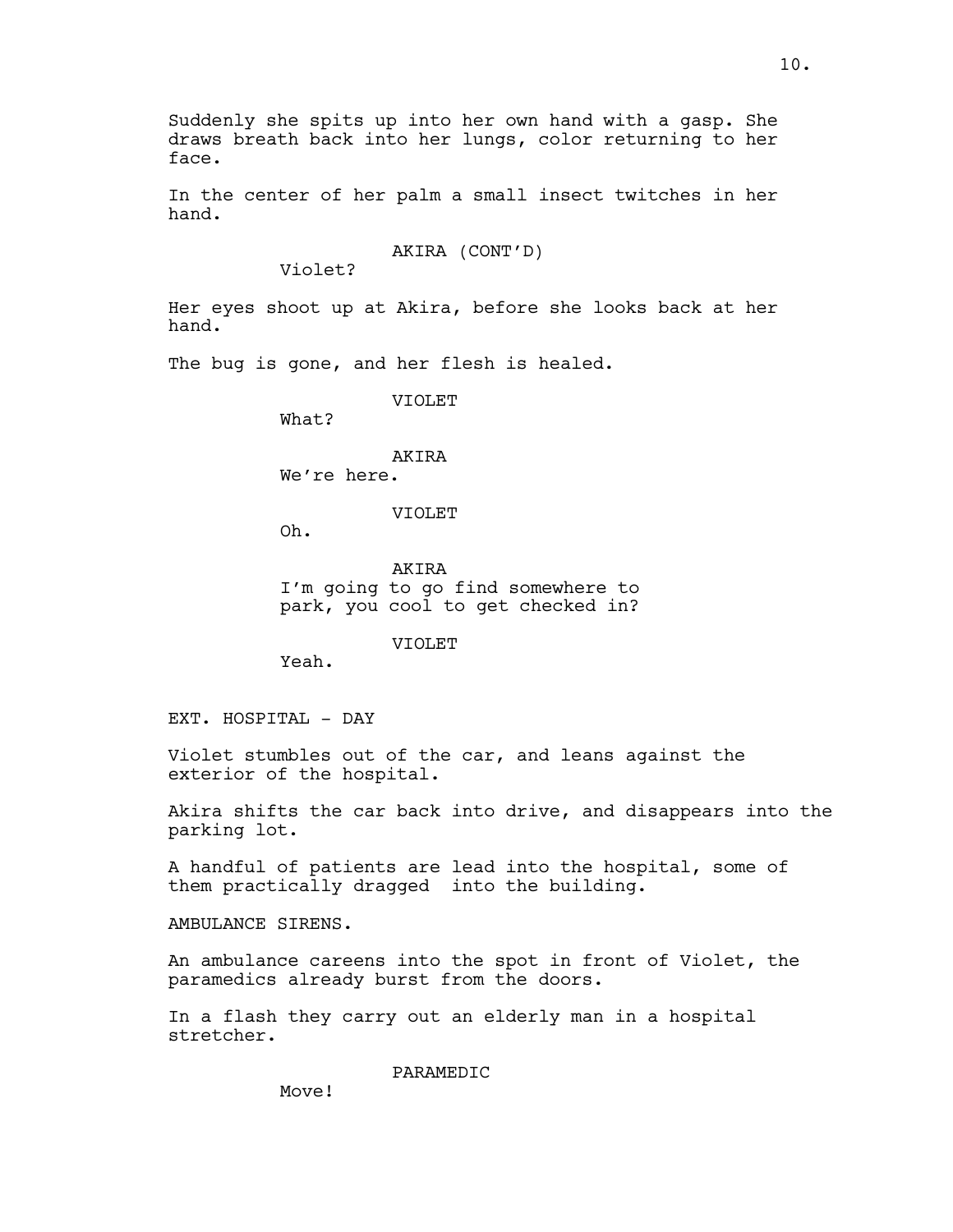Suddenly she spits up into her own hand with a gasp. She draws breath back into her lungs, color returning to her face.

In the center of her palm a small insect twitches in her hand.

AKIRA (CONT'D)

Violet?

Her eyes shoot up at Akira, before she looks back at her hand.

The bug is gone, and her flesh is healed.

VIOLET

What?

## AKIRA

We're here.

VIOLET

Oh.

**AKTRA** I'm going to go find somewhere to park, you cool to get checked in?

VIOLET

Yeah.

EXT. HOSPITAL - DAY

Violet stumbles out of the car, and leans against the exterior of the hospital.

Akira shifts the car back into drive, and disappears into the parking lot.

A handful of patients are lead into the hospital, some of them practically dragged into the building.

AMBULANCE SIRENS.

An ambulance careens into the spot in front of Violet, the paramedics already burst from the doors.

In a flash they carry out an elderly man in a hospital stretcher.

PARAMEDIC

Move!